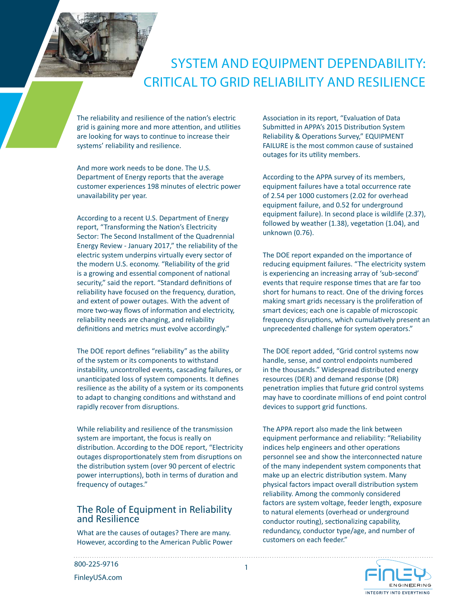# SYSTEM AND EQUIPMENT DEPENDABILITY: CRITICAL TO GRID RELIABILITY AND RESILIENCE

The reliability and resilience of the nation's electric grid is gaining more and more attention, and utilities are looking for ways to continue to increase their systems' reliability and resilience.

And more work needs to be done. The U.S. Department of Energy reports that the average customer experiences 198 minutes of electric power unavailability per year.

According to a recent U.S. Department of Energy report, "Transforming the Nation's Electricity Sector: The Second Installment of the Quadrennial Energy Review - January 2017," the reliability of the electric system underpins virtually every sector of the modern U.S. economy. "Reliability of the grid is a growing and essential component of national security," said the report. "Standard definitions of reliability have focused on the frequency, duration, and extent of power outages. With the advent of more two-way flows of information and electricity, reliability needs are changing, and reliability definitions and metrics must evolve accordingly."

The DOE report defines "reliability" as the ability of the system or its components to withstand instability, uncontrolled events, cascading failures, or unanticipated loss of system components. It defines resilience as the ability of a system or its components to adapt to changing conditions and withstand and rapidly recover from disruptions.

While reliability and resilience of the transmission system are important, the focus is really on distribution. According to the DOE report, "Electricity outages disproportionately stem from disruptions on the distribution system (over 90 percent of electric power interruptions), both in terms of duration and frequency of outages."

#### The Role of Equipment in Reliability and Resilience

What are the causes of outages? There are many. However, according to the American Public Power Association in its report, "Evaluation of Data Submitted in APPA's 2015 Distribution System Reliability & Operations Survey," EQUIPMENT FAILURE is the most common cause of sustained outages for its utility members.

According to the APPA survey of its members, equipment failures have a total occurrence rate of 2.54 per 1000 customers (2.02 for overhead equipment failure, and 0.52 for underground equipment failure). In second place is wildlife (2.37), followed by weather (1.38), vegetation (1.04), and unknown (0.76).

The DOE report expanded on the importance of reducing equipment failures. "The electricity system is experiencing an increasing array of 'sub-second' events that require response times that are far too short for humans to react. One of the driving forces making smart grids necessary is the proliferation of smart devices; each one is capable of microscopic frequency disruptions, which cumulatively present an unprecedented challenge for system operators."

The DOE report added, "Grid control systems now handle, sense, and control endpoints numbered in the thousands." Widespread distributed energy resources (DER) and demand response (DR) penetration implies that future grid control systems may have to coordinate millions of end point control devices to support grid functions.

The APPA report also made the link between equipment performance and reliability: "Reliability indices help engineers and other operations personnel see and show the interconnected nature of the many independent system components that make up an electric distribution system. Many physical factors impact overall distribution system reliability. Among the commonly considered factors are system voltage, feeder length, exposure to natural elements (overhead or underground conductor routing), sectionalizing capability, redundancy, conductor type/age, and number of customers on each feeder."



800-225-9716

FinleyUSA.com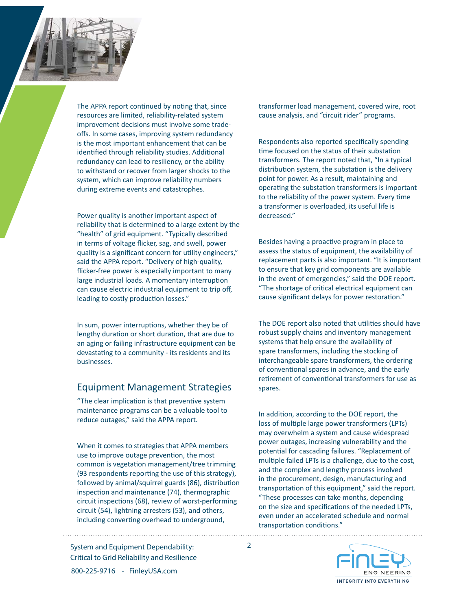

Power quality is another important aspect of reliability that is determined to a large extent by the "health" of grid equipment. "Typically described in terms of voltage flicker, sag, and swell, power quality is a significant concern for utility engineers," said the APPA report. "Delivery of high-quality, flicker-free power is especially important to many large industrial loads. A momentary interruption can cause electric industrial equipment to trip off, leading to costly production losses."

In sum, power interruptions, whether they be of lengthy duration or short duration, that are due to an aging or failing infrastructure equipment can be devastating to a community - its residents and its businesses.

### Equipment Management Strategies

"The clear implication is that preventive system maintenance programs can be a valuable tool to reduce outages," said the APPA report.

When it comes to strategies that APPA members use to improve outage prevention, the most common is vegetation management/tree trimming (93 respondents reporting the use of this strategy), followed by animal/squirrel guards (86), distribution inspection and maintenance (74), thermographic circuit inspections (68), review of worst-performing circuit (54), lightning arresters (53), and others, including converting overhead to underground,

System and Equipment Dependability: 2 Critical to Grid Reliability and Resilience 800-225-9716 - FinleyUSA.com

transformer load management, covered wire, root cause analysis, and "circuit rider" programs.

Respondents also reported specifically spending time focused on the status of their substation transformers. The report noted that, "In a typical distribution system, the substation is the delivery point for power. As a result, maintaining and operating the substation transformers is important to the reliability of the power system. Every time a transformer is overloaded, its useful life is decreased."

Besides having a proactive program in place to assess the status of equipment, the availability of replacement parts is also important. "It is important to ensure that key grid components are available in the event of emergencies," said the DOE report. "The shortage of critical electrical equipment can cause significant delays for power restoration."

The DOE report also noted that utilities should have robust supply chains and inventory management systems that help ensure the availability of spare transformers, including the stocking of interchangeable spare transformers, the ordering of conventional spares in advance, and the early retirement of conventional transformers for use as spares.

In addition, according to the DOE report, the loss of multiple large power transformers (LPTs) may overwhelm a system and cause widespread power outages, increasing vulnerability and the potential for cascading failures. "Replacement of multiple failed LPTs is a challenge, due to the cost, and the complex and lengthy process involved in the procurement, design, manufacturing and transportation of this equipment," said the report. "These processes can take months, depending on the size and specifications of the needed LPTs, even under an accelerated schedule and normal transportation conditions."

> **ENGINEERING** INTEGRITY INTO EVERYTHING